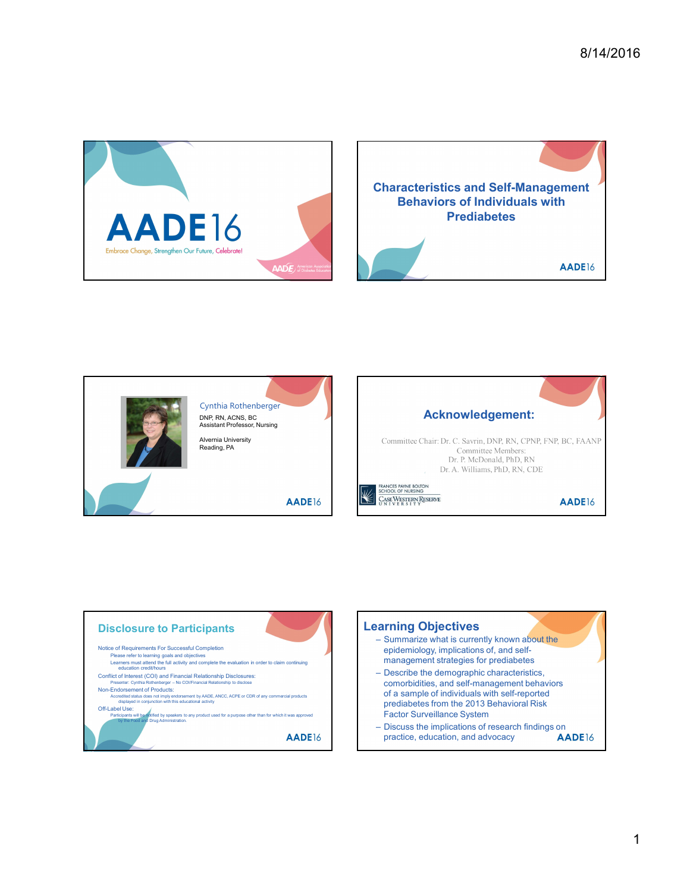







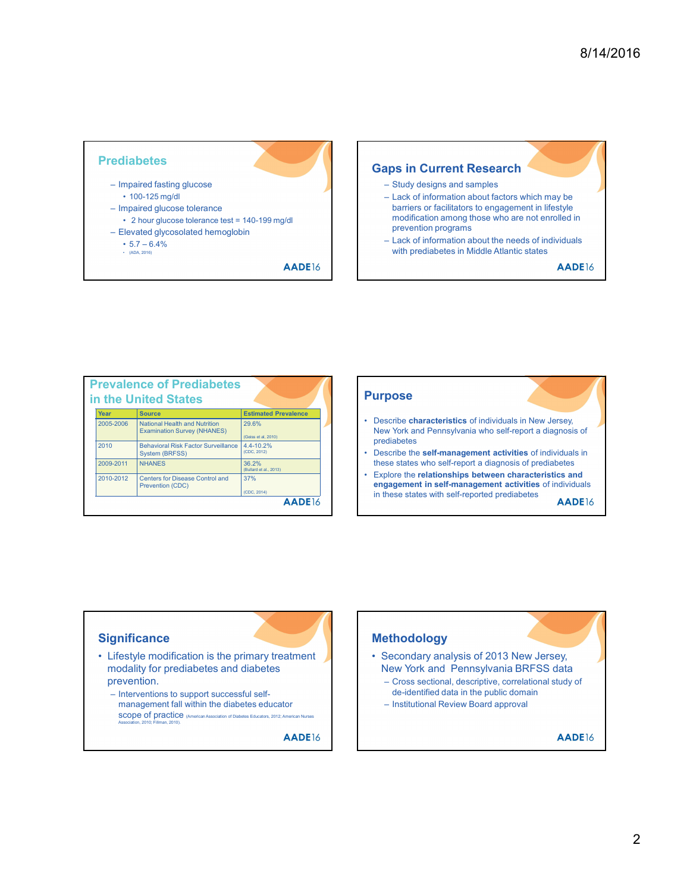

|           | <b>Prevalence of Prediabetes</b><br>in the United States                   |                                 |
|-----------|----------------------------------------------------------------------------|---------------------------------|
| Year      | <b>Source</b>                                                              | <b>Estimated Prevalence</b>     |
| 2005-2006 | <b>National Health and Nutrition</b><br><b>Examination Survey (NHANES)</b> | 29.6%<br>(Geiss et al, 2010)    |
| 2010      | <b>Behavioral Risk Factor Surveillance</b><br><b>System (BRFSS)</b>        | 4.4-10.2%<br>(CDC, 2012)        |
| 2009-2011 | <b>NHANES</b>                                                              | 36.2%<br>(Bullard et al., 2013) |
| 2010-2012 | <b>Centers for Disease Control and</b><br><b>Prevention (CDC)</b>          | 37%<br>(CDC, 2014)              |

### Purpose

- New York and Pennsylvania who self-report a diagnosis of prediabetes
- these states who self-report a diagnosis of prediabetes
- $\frac{(CDC, 2014)}{D}$  in these states with self-reported prediabetes  $\frac{1}{2}$ engagement in self-management activities of individuals

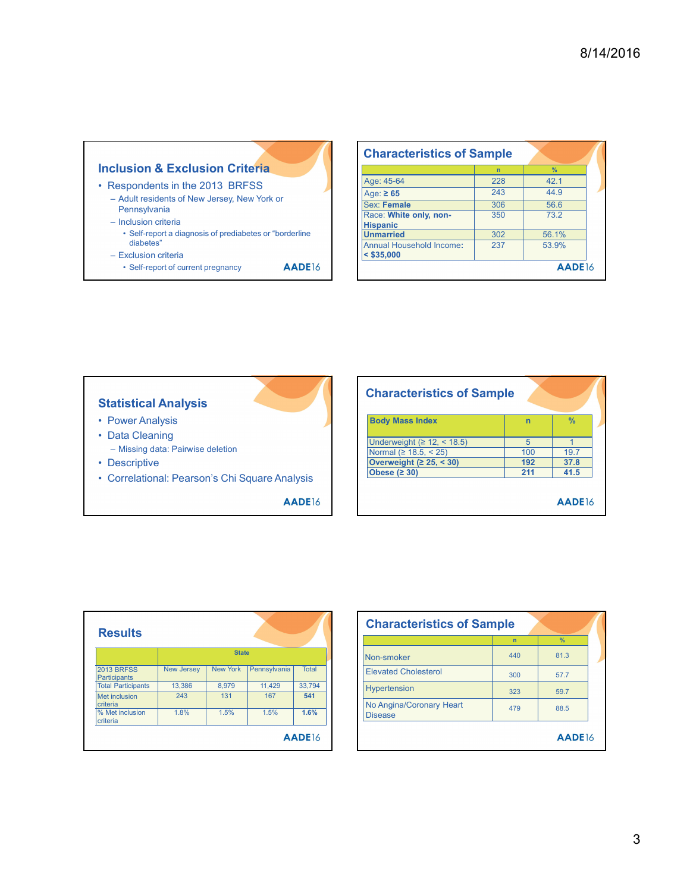|                                                              | <b>Characteristics of Samp</b>      |                 |
|--------------------------------------------------------------|-------------------------------------|-----------------|
| <b>Inclusion &amp; Exclusion Criteria</b>                    |                                     | $\overline{ }$  |
|                                                              | Age: 45-64                          | 22              |
|                                                              |                                     | 24              |
| • Respondents in the 2013 BRFSS                              | Age: $\geq 65$                      |                 |
| - Adult residents of New Jersey, New York or<br>Pennsylvania | Sex: Female                         | 30              |
| - Inclusion criteria                                         | Race: White only, non-              | 35              |
| • Self-report a diagnosis of prediabetes or "borderline      | <b>Hispanic</b><br><b>Unmarried</b> | 30 <sub>i</sub> |

- Self-report a diagnosis of prediabetes or "borderline diabetes"
- 
- 

|                                                         | <b>Characteristics of Sample</b>    |            |              |
|---------------------------------------------------------|-------------------------------------|------------|--------------|
| <b>clusion &amp; Exclusion Criteria</b>                 |                                     | $n -$      | $\%$         |
| Respondents in the 2013 BRFSS                           | Age: 45-64<br>Age: $\geq 65$        | 228<br>243 | 42.1<br>44.9 |
| - Adult residents of New Jersey, New York or            | Sex: Female                         | 306        | 56.6         |
| Pennsylvania<br>- Inclusion criteria                    | Race: White only, non-              | 350        | 73.2         |
| • Self-report a diagnosis of prediabetes or "borderline | <b>Hispanic</b><br><b>Unmarried</b> | 302        | 56.1%        |
| diabetes"                                               | Annual Household Income:            | 237        | 53.9%        |
| - Exclusion criteria                                    | $<$ \$35,000                        |            |              |
| • Self-report of current pregnancy<br>AADE16            |                                     |            | AADE16       |



| <b>Exclusion Criteria</b><br>$\frac{9}{6}$<br>n<br>Age: 45-64<br>228<br>42.1<br>s in the 2013 BRFSS<br>44.9<br>243<br>Age: $\geq 65$<br>nts of New Jersey, New York or<br>Sex: Female<br>306<br>56.6<br>Race: White only, non-<br>350<br>73.2<br><b>Hispanic</b><br>t a diagnosis of prediabetes or "borderline<br>302<br><b>Unmarried</b><br>56.1%<br>237<br>53.9%<br>Annual Household Income:<br>$ $ < \$35,000<br>AADE16<br>AADE16<br><b>Characteristics of Sample</b><br><b>Body Mass Index</b><br>$\frac{9}{6}$<br>n<br>Underweight $(≥ 12, < 18.5)$<br>5 <sup>5</sup><br>$\vert$ 1<br>Normal (≥ 18.5, < 25)<br>100<br>19.7<br>Overweight $(225, 530)$<br>37.8<br>192<br>Obese $(2 30)$<br>211<br>41.5<br>I: Pearson's Chi Square Analysis<br>AADE16<br>AADE16 |                                              |  | <b>Characteristics of Sample</b> |   |               |
|---------------------------------------------------------------------------------------------------------------------------------------------------------------------------------------------------------------------------------------------------------------------------------------------------------------------------------------------------------------------------------------------------------------------------------------------------------------------------------------------------------------------------------------------------------------------------------------------------------------------------------------------------------------------------------------------------------------------------------------------------------------------|----------------------------------------------|--|----------------------------------|---|---------------|
|                                                                                                                                                                                                                                                                                                                                                                                                                                                                                                                                                                                                                                                                                                                                                                     |                                              |  |                                  |   |               |
|                                                                                                                                                                                                                                                                                                                                                                                                                                                                                                                                                                                                                                                                                                                                                                     |                                              |  |                                  |   |               |
|                                                                                                                                                                                                                                                                                                                                                                                                                                                                                                                                                                                                                                                                                                                                                                     |                                              |  |                                  |   |               |
|                                                                                                                                                                                                                                                                                                                                                                                                                                                                                                                                                                                                                                                                                                                                                                     |                                              |  |                                  |   |               |
|                                                                                                                                                                                                                                                                                                                                                                                                                                                                                                                                                                                                                                                                                                                                                                     | ia<br>teria                                  |  |                                  |   |               |
|                                                                                                                                                                                                                                                                                                                                                                                                                                                                                                                                                                                                                                                                                                                                                                     |                                              |  |                                  |   |               |
|                                                                                                                                                                                                                                                                                                                                                                                                                                                                                                                                                                                                                                                                                                                                                                     |                                              |  |                                  |   |               |
|                                                                                                                                                                                                                                                                                                                                                                                                                                                                                                                                                                                                                                                                                                                                                                     | iteria                                       |  |                                  |   |               |
|                                                                                                                                                                                                                                                                                                                                                                                                                                                                                                                                                                                                                                                                                                                                                                     | t of current pregnancy                       |  |                                  |   |               |
|                                                                                                                                                                                                                                                                                                                                                                                                                                                                                                                                                                                                                                                                                                                                                                     | <b>nalysis</b><br>sis<br>٦g                  |  |                                  |   |               |
|                                                                                                                                                                                                                                                                                                                                                                                                                                                                                                                                                                                                                                                                                                                                                                     |                                              |  |                                  |   |               |
|                                                                                                                                                                                                                                                                                                                                                                                                                                                                                                                                                                                                                                                                                                                                                                     |                                              |  | <b>Characteristics of Sample</b> | n | $\frac{9}{6}$ |
| <b>State</b><br>440<br>81.3                                                                                                                                                                                                                                                                                                                                                                                                                                                                                                                                                                                                                                                                                                                                         |                                              |  |                                  |   |               |
| Non-smoker<br>New York Pennsylvania<br>Total<br><b>Elevated Cholesterol</b>                                                                                                                                                                                                                                                                                                                                                                                                                                                                                                                                                                                                                                                                                         |                                              |  |                                  |   |               |
| 57.7<br>300<br>11,429<br>8,979                                                                                                                                                                                                                                                                                                                                                                                                                                                                                                                                                                                                                                                                                                                                      | a: Pairwise deletion<br>New Jersey<br>13,386 |  |                                  |   |               |
| 33,794<br>Hypertension<br>323<br>59.7<br>167<br>541<br>131                                                                                                                                                                                                                                                                                                                                                                                                                                                                                                                                                                                                                                                                                                          | 243                                          |  |                                  |   |               |
| No Angina/Coronary Heart<br>479<br>88.5<br>1.5%<br>1.5%<br>1.6%<br><b>Disease</b>                                                                                                                                                                                                                                                                                                                                                                                                                                                                                                                                                                                                                                                                                   | 1.8%                                         |  |                                  |   |               |

| <b>Results</b>                           |            |                 |              |                    | <b>Characteristics</b>      |
|------------------------------------------|------------|-----------------|--------------|--------------------|-----------------------------|
|                                          |            | <b>State</b>    |              |                    | Non-smoker                  |
| <b>2013 BRFSS</b><br><b>Participants</b> | New Jersey | <b>New York</b> | Pennsylvania | <b>Total</b>       | <b>Elevated Cholesterol</b> |
| <b>Total Participants</b>                | 13.386     | 8.979           | 11.429       | 33.794             | Hypertension                |
| Met inclusion<br>criteria                | 243        | 131             | 167          | 541                | No Angina/Coronary He       |
| % Met inclusion<br>criteria              | 1.8%       | 1.5%            | 1.5%         | 1.6%               | <b>Disease</b>              |
|                                          |            |                 |              | AADE <sub>16</sub> |                             |

| <b>Statistical Analysis</b>                    |                   |                 |              |        |                | <b>Characteristics of Sample</b> |                |                |  |
|------------------------------------------------|-------------------|-----------------|--------------|--------|----------------|----------------------------------|----------------|----------------|--|
| • Power Analysis                               |                   |                 |              |        |                | <b>Body Mass Index</b>           | n              | $\frac{9}{6}$  |  |
| • Data Cleaning                                |                   |                 |              |        |                |                                  |                |                |  |
|                                                |                   |                 |              |        |                | Underweight $(≥ 12, < 18.5)$     | 5 <sup>5</sup> | $\overline{1}$ |  |
| - Missing data: Pairwise deletion              |                   |                 |              |        |                | Normal ( $\geq 18.5, \leq 25$ )  | 100            | 19.7           |  |
| • Descriptive                                  |                   |                 |              |        |                | Overweight $(225, 30)$           | 192            | 37.8           |  |
| • Correlational: Pearson's Chi Square Analysis |                   |                 |              |        |                | Obese $(230)$                    | 211            | 41.5           |  |
|                                                |                   |                 |              | AADE16 |                |                                  |                | AADE16         |  |
|                                                |                   |                 |              |        |                |                                  |                |                |  |
|                                                |                   |                 |              |        |                |                                  |                |                |  |
|                                                |                   |                 |              |        |                | <b>Characteristics of Sample</b> |                |                |  |
| <b>Results</b>                                 |                   |                 |              |        |                |                                  | n              | $\frac{9}{6}$  |  |
|                                                |                   | <b>State</b>    |              |        |                | Non-smoker                       | 440            | 81.3           |  |
| <b>2013 BRFSS</b>                              | <b>New Jersey</b> | <b>New York</b> | Pennsylvania | Total  |                | <b>Elevated Cholesterol</b>      | 300            | 57.7           |  |
| Participants<br><b>Total Participants</b>      | 13,386            | 8,979           | 11,429       | 33,794 |                |                                  |                |                |  |
| Met inclusion                                  | 243               | 131             | 167          | 541    |                | Hypertension                     | 323            | 59.7           |  |
| criteria<br>% Met inclusion<br>criteria        | 1.8%              | 1.5%            | 1.5%         | 1.6%   | <b>Disease</b> | No Angina/Coronary Heart         | 479            | 88.5           |  |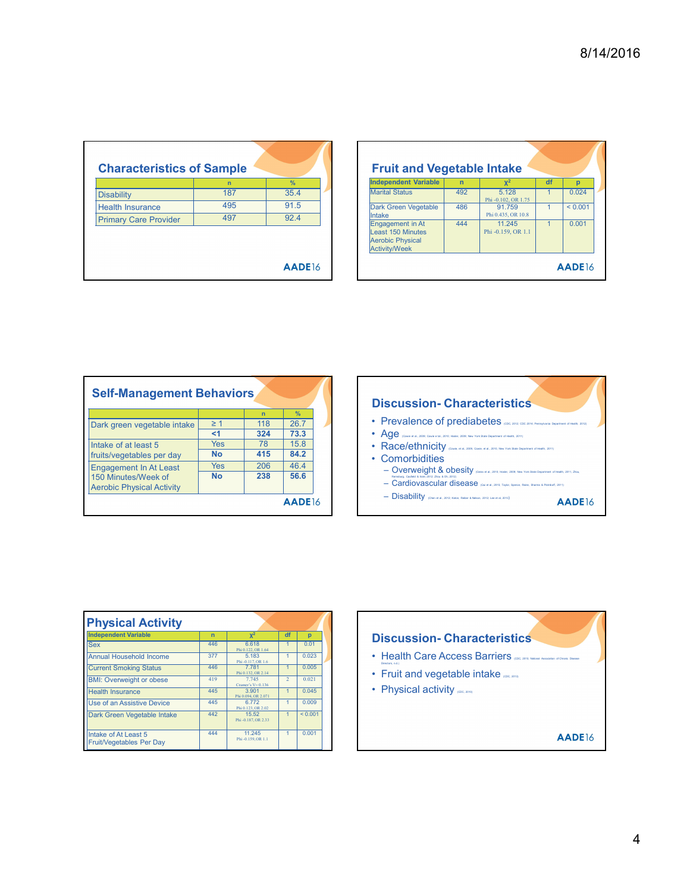|                              | $\overline{ }$ | $\frac{9}{6}$ |
|------------------------------|----------------|---------------|
| <b>Disability</b>            | 187            | 35.4          |
| <b>Health Insurance</b>      | 495            | 91.5          |
| <b>Primary Care Provider</b> | 497            | 92.4          |
|                              |                |               |

|                                                                                                                  |                        |                                       |                                                                                                                                                                      |                        |                                                                                                       |                                          | 8/14/2016                      |
|------------------------------------------------------------------------------------------------------------------|------------------------|---------------------------------------|----------------------------------------------------------------------------------------------------------------------------------------------------------------------|------------------------|-------------------------------------------------------------------------------------------------------|------------------------------------------|--------------------------------|
| <b>Characteristics of Sample</b><br><b>Disability</b><br><b>Health Insurance</b><br><b>Primary Care Provider</b> | n<br>187<br>495<br>497 | $\frac{9}{6}$<br>35.4<br>91.5<br>92.4 | <b>Fruit and Vegetable Intake</b><br><b>Independent Variable</b><br><b>Marital Status</b><br>Dark Green Vegetable<br>Intake<br>Engagement in At<br>Least 150 Minutes | n<br>492<br>486<br>444 | $X^2$<br>5.128<br>Phi -0.102, OR 1.75<br>91.759<br>Phi 0.435, OR 10.8<br>11.245<br>Phi -0.159, OR 1.1 | df<br>$\vert$ 1<br>$1 -$<br>$\mathbf{1}$ | p<br>0.024<br>< 0.001<br>0.001 |
|                                                                                                                  |                        | AADE16                                | <b>Aerobic Physical</b><br><b>Activity/Week</b>                                                                                                                      |                        |                                                                                                       |                                          | AADE16                         |

|                                                                                                                      | <b>Characteristics of Sample</b> |             |               |  | <b>Fruit and Vegetable Intake</b>                                                                                                                 |     |                            |
|----------------------------------------------------------------------------------------------------------------------|----------------------------------|-------------|---------------|--|---------------------------------------------------------------------------------------------------------------------------------------------------|-----|----------------------------|
|                                                                                                                      | $\overline{ }$                   |             | $\frac{9}{6}$ |  | <b>Independent Variable</b>                                                                                                                       | 'n  | $X^2$                      |
| <b>Disability</b>                                                                                                    | 187                              |             | 35.4          |  | <b>Marital Status</b>                                                                                                                             | 492 | 5.128                      |
| <b>Health Insurance</b>                                                                                              | 495                              |             | 91.5          |  | Dark Green Vegetable                                                                                                                              | 486 | Phi -0.102, OR 1<br>91.759 |
| <b>Primary Care Provider</b>                                                                                         | 497                              |             | 92.4          |  | <b>Intake</b>                                                                                                                                     |     | Phi 0.435, OR 1            |
|                                                                                                                      |                                  |             |               |  | <b>Engagement in At</b><br><b>Least 150 Minutes</b>                                                                                               | 444 | 11.245<br>Phi -0.159, OR   |
|                                                                                                                      |                                  |             |               |  | <b>Aerobic Physical</b><br><b>Activity/Week</b>                                                                                                   |     |                            |
|                                                                                                                      |                                  |             |               |  |                                                                                                                                                   |     |                            |
|                                                                                                                      |                                  |             |               |  |                                                                                                                                                   |     |                            |
|                                                                                                                      |                                  |             |               |  | <b>Discussion-Characteristic</b>                                                                                                                  |     |                            |
|                                                                                                                      |                                  | $\mathbf n$ | $\%$          |  |                                                                                                                                                   |     |                            |
|                                                                                                                      | $\geq 1$                         | 118         | 26.7          |  | • Prevalence of prediabetes (CDC, 2012, c)                                                                                                        |     |                            |
|                                                                                                                      | < 1                              | 324         | 73.3          |  | • Age (Cowie et al., 2009; Cowie et al., 2010; Hosler, 2009; New York State Department of Health, 2011)                                           |     |                            |
|                                                                                                                      | <b>Yes</b>                       | 78          | 15.8          |  | • Race/ethnicity (Comin, et al., 2009, Comin, et al., 2010, New York State Day                                                                    |     |                            |
| <b>Self-Management Behaviors</b><br>Dark green vegetable intake<br>Intake of at least 5<br>fruits/vegetables per day | <b>No</b>                        | 415         | 84.2          |  | • Comorbidities                                                                                                                                   |     |                            |
| <b>Engagement In At Least</b><br>150 Minutes/Week of                                                                 | <b>Yes</b><br><b>No</b>          | 206<br>238  | 46.4<br>56.6  |  | - Overweight & obesity (Geiss et al., 2012; New S. O., 2012)                                                                                      |     |                            |
| <b>Aerobic Physical Activity</b>                                                                                     |                                  |             |               |  | - Cardiovascular disease (Qui et al., 2015; Taylor, Spanoa, 1<br>- Disability (Chen et al., 2012; Katon, Reiber & Nelson, 2012; Lee et al., 2013) |     |                            |



| <b>Physical Activity</b>                                |                |                               |                |                |  |   |
|---------------------------------------------------------|----------------|-------------------------------|----------------|----------------|--|---|
| <b>Independent Variable</b>                             | $\overline{ }$ | $x^2$                         | df             | $\overline{D}$ |  | n |
| <b>Sex</b>                                              | 446            | 6.618<br>Phi 0.122.OR 1.64    |                | 0.01           |  |   |
| <b>Annual Household Income</b>                          | 377            | 5.183<br>Phi-0.117.OR 1.6     | 1              | 0.023          |  |   |
| <b>Current Smoking Status</b>                           | 446            | 7.781<br>Phi 0.132. OR 2.14   | 1              | 0.005          |  |   |
| <b>BMI: Overweight or obese</b>                         | 419            | 7.745<br>Cramer's $V = 0.136$ | $\overline{2}$ | 0.021          |  |   |
| <b>Health Insurance</b>                                 | 445            | 3.901<br>Phi 0.094, OR 2.071  | $\mathbf{1}$   | 0.045          |  |   |
| Use of an Assistive Device                              | 445            | 6.772<br>Phi 0.123, OR 2.02   | 1              | 0.009          |  |   |
| Dark Green Vegetable Intake                             | 442            | 15.52<br>Phi-0.187, OR 2.33   | $\mathbf{1}$   | ${}_{0.001}$   |  |   |
| Intake of At Least 5<br><b>Fruit/Vegetables Per Day</b> | 444            | 11.245<br>Phi-0.159, OR 1.1   | 1              | 0.001          |  |   |

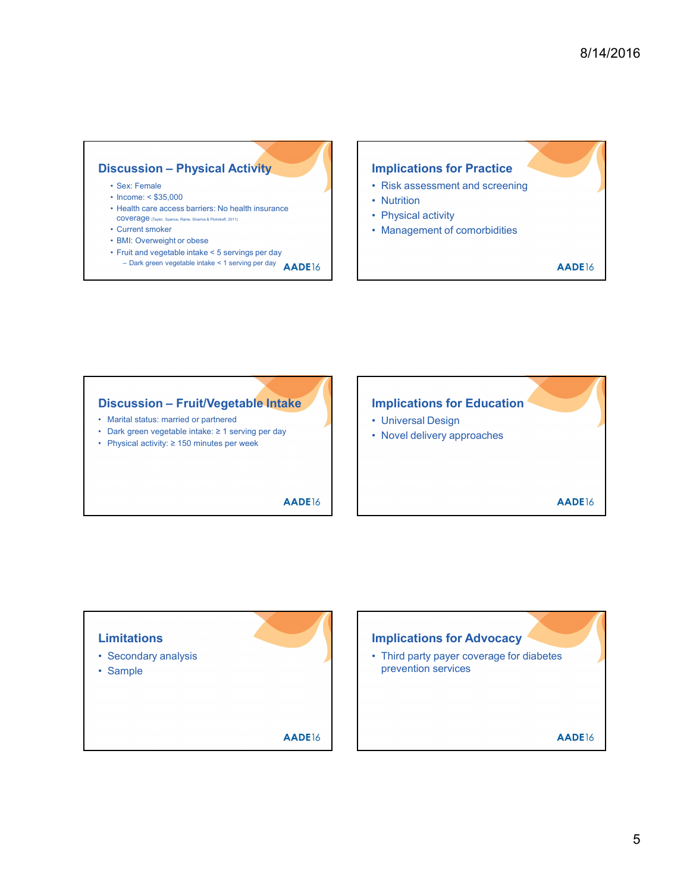## Discussion – Physical Activity<br>
Sex: Female<br>
• Risk assessment and screening<br>
• Health insurance<br>
• Risk assessment and screening<br>
• Nutrition<br>
• Current smoker<br>
• Current smoker<br>
• Current smoker<br>
• Current smoker<br>
• Curr **SCUSSION - Physical Activity**<br>
• Sex: Female<br>
• Income: < \$35,000<br>
• Health care access barriers: No health insurance<br>
• Current smoker<br>
• Current smoker<br>
• Current smoker<br>
• First and vegetable intake < 5 servings per da **SCUSSION - Physical Activity**<br>
• Sex: Female<br>
• Income: < \$35,000<br>
• Health care access barriers: No health insurance<br>
• Current smoke that all the state of some frame and set of the content smoke of the content smoke of **SCUSSION – Physical Activity**<br>• Sex: Female<br>• Health care access barriers: No health insurance<br>• Health care access barriers: No health insurance<br>• Current smooth and some stress and some stress and some stress and some **SCUSSION - Physical Activity**<br>
Coverage (Taylor, Spence, Raine, Sharma Properties, Ro health insurance<br>
Coverage (Taylor, Spence, Raine, Raine, Raine, Raine, Raine, Raine, Raine, Raine, Raine, Raine, Raine, Raine, Raine, **SCUSSION - Physical Activity**<br>
• Sex: Female<br>
• Income: < \$35,000<br>
• Neith care access barriers: No health insurance<br>
• Current smoker<br>
• Current smoker<br>
• Current smoker<br>
• Fruit and vegetable intate < 5 serving  $P$  or **SCUSSION - Physical Activity**<br>
• Sex: Female<br>
• Health care access barriers: No health insurance<br>
• Health care access barriers: No health insurance<br>
• Curent smoke intake  $\epsilon$  5 servings per day<br>
• BMI: Overweight or ob

- 
- 
- 
- 
- 
- 
- 
- LUSSION Physical Activity<br>
Parameter < \$35,000<br>
come: < \$35,000<br>
order access barriers: No health insurance<br>
werenge exect because and serving per day<br>
Werenge exect be access to the serving per day<br>
∴ Management of com

## Implications for Practice 8/14/2016<br> **example:**<br>
• Risk assessment and screening<br>
• Nutrition<br>
• Physical activity<br>
• Management of comorbidities 8/14/2016<br>
• Risk assessment and screening<br>
• Nutrition<br>
• Physical activity<br>
• Management of comorbidities<br>
• AADE16 8/14/2016<br>
• Risk assessment and screening<br>
• Nutrition<br>
• Physical activity<br>
• Management of comorbidities<br> **AADE**16 8/14/2016<br>
• Risk assessment and screening<br>
• Nutrition<br>
• Physical activity<br>
• Management of comorbidities<br> **AADE16**

- 
- 
- 
- 

# **Discussion – Physical Activity**<br>
• Sex: Female<br>
• Income < \$35,000<br>
• Health care access barriers: No health insurance<br>
• Mittilion<br>
• Current smoker<br>
• Maria actess barriers: No health insurance<br>
• Maria activity<br>
• Cur **Discussion – Physical Activity**<br>
• Sex: Female<br>
• Income: < \$55,000<br>
• Health dare access barriers: No health insurance<br>
• Current smoker<br>
• Current smoker<br>
• Current smoker<br>
• Current smoker<br>
• Dark green vegetable inta **Discussion – Physical Activity**<br>
• Sex: Female<br>
• Income: < \$35,000<br>
• Health care access Barriers: No health insurance<br>
• Durity Coverage own sequences means activity<br>
• Current mode of concerned activity<br>
• Durity Cove

- 
- 
- 

# Discussion – Physical Activity<br>
Sex: Female<br>
• Hotellivate access barriers: No health insurance<br>
• Health care access barriers: No health insurance<br>
• During Recession – The Mathematical Section<br>
• Current smoker<br>
• BM: O Implications for Education **Implications for Practice**<br>• Risk assessment and screening<br>• Nutrition<br>• Management of comorbidities<br>• Management of comorbidities<br>• AADE16<br>• Universal Design<br>• Novel delivery approaches Implications for Practice<br>• Risk assessment and screening<br>• Nutrition<br>• Physical activity<br>• Management of comorbidities<br>• AADE16<br>• Universal Design<br>• Novel delivery approaches<br>• AADE16

- 
- 

### Discussion – Fruit/Vegetable Intake<br>
• Marial status: married or partnered<br>
• Driversal Design<br>
• Physical activity: ≥ 150 minutes per week<br>
• AADE16<br>
• AADE16<br>
• AADE16<br>
• Secondary analysis<br>
• Secondary analysis<br>
• Samp Implications for Education<br>
• Universal Design<br>
• Novel delivery approaches<br> **AADE16**<br> **AADE16**<br>
• Third party payer coverage for diabetes<br>
prevention services Discussion – Fruit/Vegetable Intake<br>
• Maria states: maried or partnered<br>
• Dark green vegetable intake ≥ 1 serving per day<br>
• Physical activity: ≥ 150 minutes per week<br>
• AADE16<br>
• AADE16<br>
• Secondary analysis<br>
• Secondar Limitations Implications for Advocacy prevention services**AADE16**